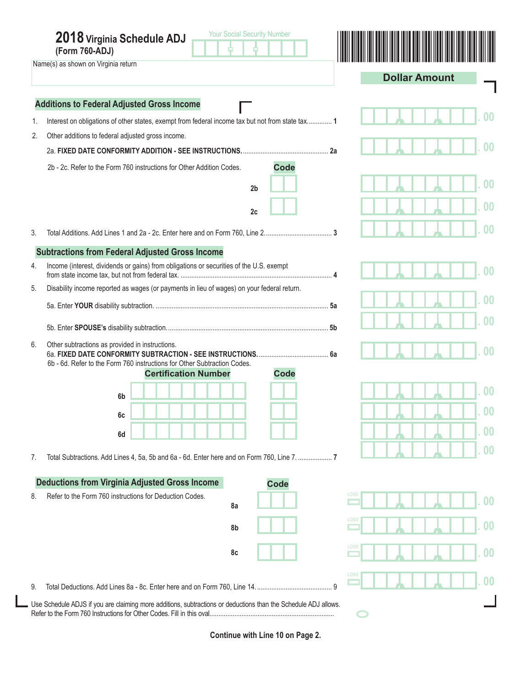|    | <b>Your Social Security Number</b><br>2018 Virginia Schedule ADJ<br>(Form 760-ADJ)<br>Name(s) as shown on Virginia return                                                 |                         |
|----|---------------------------------------------------------------------------------------------------------------------------------------------------------------------------|-------------------------|
|    |                                                                                                                                                                           | <b>Dollar Amount</b>    |
|    | <b>Additions to Federal Adjusted Gross Income</b>                                                                                                                         |                         |
| 1. | Interest on obligations of other states, exempt from federal income tax but not from state tax 1                                                                          |                         |
| 2. | Other additions to federal adjusted gross income.                                                                                                                         |                         |
|    |                                                                                                                                                                           |                         |
|    | <b>Code</b><br>2b - 2c. Refer to the Form 760 instructions for Other Addition Codes.                                                                                      |                         |
|    | 2 <sub>b</sub>                                                                                                                                                            |                         |
|    |                                                                                                                                                                           |                         |
|    | 2c                                                                                                                                                                        |                         |
| 3. |                                                                                                                                                                           |                         |
|    | <b>Subtractions from Federal Adjusted Gross Income</b>                                                                                                                    |                         |
| 4. | Income (interest, dividends or gains) from obligations or securities of the U.S. exempt                                                                                   |                         |
| 5. | Disability income reported as wages (or payments in lieu of wages) on your federal return.                                                                                |                         |
|    |                                                                                                                                                                           |                         |
|    |                                                                                                                                                                           |                         |
| 6. | Other subtractions as provided in instructions.<br>6b - 6d. Refer to the Form 760 instructions for Other Subtraction Codes.<br><b>Code</b><br><b>Certification Number</b> |                         |
|    |                                                                                                                                                                           |                         |
|    | 6 <sub>b</sub>                                                                                                                                                            |                         |
|    | 6c                                                                                                                                                                        | UU                      |
|    | 6d                                                                                                                                                                        | 0 <sub>0</sub>          |
| 7. |                                                                                                                                                                           | $\bf{00}$               |
|    | <b>Deductions from Virginia Adjusted Gross Income</b><br><b>Code</b>                                                                                                      |                         |
| 8. | Refer to the Form 760 instructions for Deduction Codes.                                                                                                                   | LOSS<br>$00\,$          |
|    | 8a                                                                                                                                                                        |                         |
|    | 8b                                                                                                                                                                        | LOSS<br>$\overline{00}$ |
|    | 8c                                                                                                                                                                        | LOSS<br>$00\,$          |
| 9. | 9                                                                                                                                                                         | LOSS<br>$\bf{00}$       |
|    | Use Schedule ADJS if you are claiming more additions, subtractions or deductions than the Schedule ADJ allows.                                                            |                         |
|    |                                                                                                                                                                           |                         |

**Continue with Line 10 on Page 2.**

I